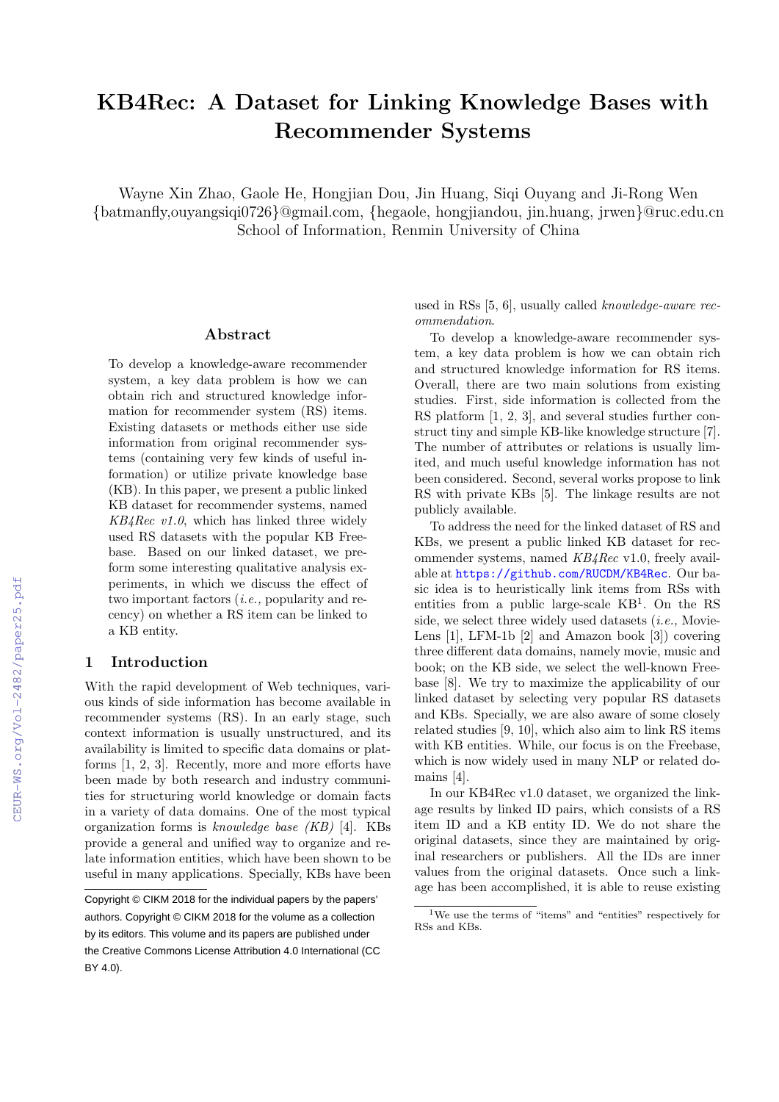# KB4Rec: A Dataset for Linking Knowledge Bases with Recommender Systems

Wayne Xin Zhao, Gaole He, Hongjian Dou, Jin Huang, Siqi Ouyang and Ji-Rong Wen {batmanfly,ouyangsiqi0726}@gmail.com, {hegaole, hongjiandou, jin.huang, jrwen}@ruc.edu.cn School of Information, Renmin University of China

#### Abstract

To develop a knowledge-aware recommender system, a key data problem is how we can obtain rich and structured knowledge information for recommender system (RS) items. Existing datasets or methods either use side information from original recommender systems (containing very few kinds of useful information) or utilize private knowledge base (KB). In this paper, we present a public linked KB dataset for recommender systems, named  $KB4Rec$  v1.0, which has linked three widely used RS datasets with the popular KB Freebase. Based on our linked dataset, we preform some interesting qualitative analysis experiments, in which we discuss the effect of two important factors (i.e., popularity and recency) on whether a RS item can be linked to a KB entity.

#### 1 Introduction

With the rapid development of Web techniques, various kinds of side information has become available in recommender systems (RS). In an early stage, such context information is usually unstructured, and its availability is limited to specific data domains or platforms [1, 2, 3]. Recently, more and more efforts have been made by both research and industry communities for structuring world knowledge or domain facts in a variety of data domains. One of the most typical organization forms is knowledge base (KB) [4]. KBs provide a general and unified way to organize and relate information entities, which have been shown to be useful in many applications. Specially, KBs have been

used in RSs [5, 6], usually called knowledge-aware recommendation.

To develop a knowledge-aware recommender system, a key data problem is how we can obtain rich and structured knowledge information for RS items. Overall, there are two main solutions from existing studies. First, side information is collected from the RS platform  $[1, 2, 3]$ , and several studies further construct tiny and simple KB-like knowledge structure [7]. The number of attributes or relations is usually limited, and much useful knowledge information has not been considered. Second, several works propose to link RS with private KBs [5]. The linkage results are not publicly available.

To address the need for the linked dataset of RS and KBs, we present a public linked KB dataset for recommender systems, named KB4Rec v1.0, freely available at https://github.com/RUCDM/KB4Rec. Our basic idea is to heuristically link items from RSs with entities from a public large-scale KB<sup>1</sup> . On the RS side, we select three widely used datasets *(i.e.*, Movie-Lens [1], LFM-1b [2] and Amazon book [3]) covering three different data domains, namely movie, music and book; on the KB side, we select the well-known Freebase [8]. We try to maximize the applicability of our linked dataset by selecting very popular RS datasets and KBs. Specially, we are also aware of some closely related studies [9, 10], which also aim to link RS items with KB entities. While, our focus is on the Freebase, which is now widely used in many NLP or related domains [4].

In our KB4Rec v1.0 dataset, we organized the linkage results by linked ID pairs, which consists of a RS item ID and a KB entity ID. We do not share the original datasets, since they are maintained by original researchers or publishers. All the IDs are inner values from the original datasets. Once such a linkage has been accomplished, it is able to reuse existing

Copyright © CIKM 2018 for the individual papers by the papers' authors. Copyright © CIKM 2018 for the volume as a collection by its editors. This volume and its papers are published under the Creative Commons License Attribution 4.0 International (CC BY 4.0).

<sup>1</sup>We use the terms of "items" and "entities" respectively for RSs and KBs.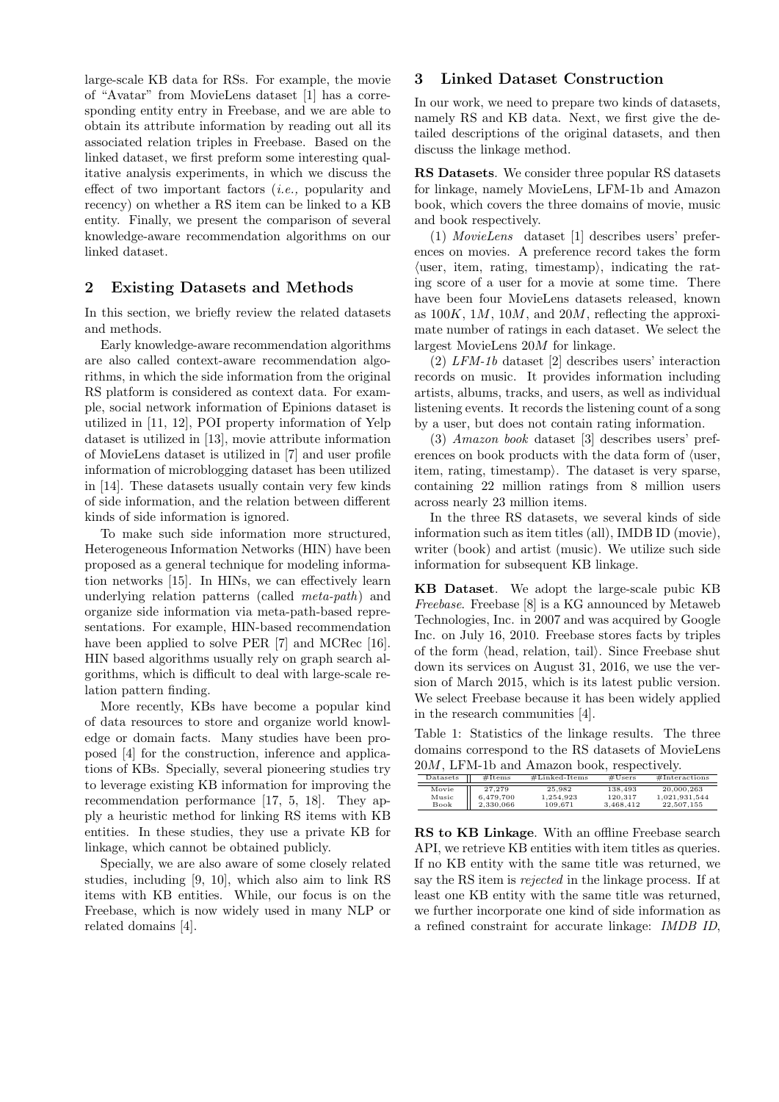large-scale KB data for RSs. For example, the movie of "Avatar" from MovieLens dataset [1] has a corresponding entity entry in Freebase, and we are able to obtain its attribute information by reading out all its associated relation triples in Freebase. Based on the linked dataset, we first preform some interesting qualitative analysis experiments, in which we discuss the effect of two important factors (i.e., popularity and recency) on whether a RS item can be linked to a KB entity. Finally, we present the comparison of several knowledge-aware recommendation algorithms on our linked dataset.

### 2 Existing Datasets and Methods

In this section, we briefly review the related datasets and methods.

Early knowledge-aware recommendation algorithms are also called context-aware recommendation algorithms, in which the side information from the original RS platform is considered as context data. For example, social network information of Epinions dataset is utilized in [11, 12], POI property information of Yelp dataset is utilized in [13], movie attribute information of MovieLens dataset is utilized in [7] and user profile information of microblogging dataset has been utilized in [14]. These datasets usually contain very few kinds of side information, and the relation between different kinds of side information is ignored.

To make such side information more structured, Heterogeneous Information Networks (HIN) have been proposed as a general technique for modeling information networks [15]. In HINs, we can effectively learn underlying relation patterns (called meta-path) and organize side information via meta-path-based representations. For example, HIN-based recommendation have been applied to solve PER [7] and MCRec [16]. HIN based algorithms usually rely on graph search algorithms, which is difficult to deal with large-scale relation pattern finding.

More recently, KBs have become a popular kind of data resources to store and organize world knowledge or domain facts. Many studies have been proposed [4] for the construction, inference and applications of KBs. Specially, several pioneering studies try to leverage existing KB information for improving the recommendation performance [17, 5, 18]. They apply a heuristic method for linking RS items with KB entities. In these studies, they use a private KB for linkage, which cannot be obtained publicly.

Specially, we are also aware of some closely related studies, including [9, 10], which also aim to link RS items with KB entities. While, our focus is on the Freebase, which is now widely used in many NLP or related domains [4].

### 3 Linked Dataset Construction

In our work, we need to prepare two kinds of datasets, namely RS and KB data. Next, we first give the detailed descriptions of the original datasets, and then discuss the linkage method.

RS Datasets. We consider three popular RS datasets for linkage, namely MovieLens, LFM-1b and Amazon book, which covers the three domains of movie, music and book respectively.

(1) MovieLens dataset [1] describes users' preferences on movies. A preference record takes the form  $\langle$ user, item, rating, timestamp $\rangle$ , indicating the rating score of a user for a movie at some time. There have been four MovieLens datasets released, known as  $100K$ , 1*M*, 10*M*, and 20*M*, reflecting the approximate number of ratings in each dataset. We select the largest MovieLens 20M for linkage.

(2) LFM-1b dataset [2] describes users' interaction records on music. It provides information including artists, albums, tracks, and users, as well as individual listening events. It records the listening count of a song by a user, but does not contain rating information.

(3) Amazon book dataset [3] describes users' preferences on book products with the data form of  $\ell$ user, item, rating, timestamp $\rangle$ . The dataset is very sparse, containing 22 million ratings from 8 million users across nearly 23 million items.

In the three RS datasets, we several kinds of side information such as item titles (all), IMDB ID (movie), writer (book) and artist (music). We utilize such side information for subsequent KB linkage.

KB Dataset. We adopt the large-scale pubic KB Freebase. Freebase [8] is a KG announced by Metaweb Technologies, Inc. in 2007 and was acquired by Google Inc. on July 16, 2010. Freebase stores facts by triples of the form (head, relation, tail). Since Freebase shut down its services on August 31, 2016, we use the version of March 2015, which is its latest public version. We select Freebase because it has been widely applied in the research communities [4].

Table 1: Statistics of the linkage results. The three domains correspond to the RS datasets of MovieLens 20M, LFM-1b and Amazon book, respectively.

| Datasets                      | $\#$ Items                       | $\#$ Linked-Items              | #Users                          | #Interestions                             |
|-------------------------------|----------------------------------|--------------------------------|---------------------------------|-------------------------------------------|
| Movie<br>Music<br><b>Book</b> | 27.279<br>6,479,700<br>2.330.066 | 25.982<br>1.254.923<br>109.671 | 138,493<br>120.317<br>3.468.412 | 20,000,263<br>1.021.931.544<br>22.507.155 |

RS to KB Linkage. With an offline Freebase search API, we retrieve KB entities with item titles as queries. If no KB entity with the same title was returned, we say the RS item is rejected in the linkage process. If at least one KB entity with the same title was returned, we further incorporate one kind of side information as a refined constraint for accurate linkage: IMDB ID,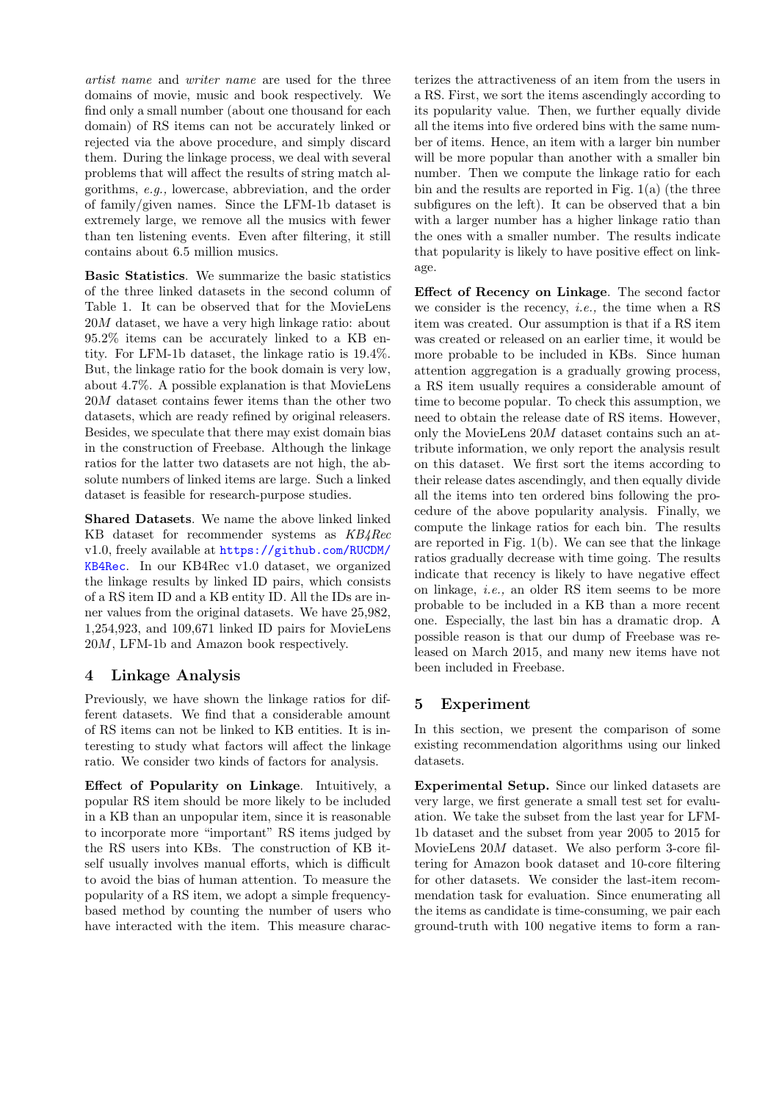artist name and writer name are used for the three domains of movie, music and book respectively. We find only a small number (about one thousand for each domain) of RS items can not be accurately linked or rejected via the above procedure, and simply discard them. During the linkage process, we deal with several problems that will affect the results of string match algorithms, e.g., lowercase, abbreviation, and the order of family/given names. Since the LFM-1b dataset is extremely large, we remove all the musics with fewer than ten listening events. Even after filtering, it still contains about 6.5 million musics.

Basic Statistics. We summarize the basic statistics of the three linked datasets in the second column of Table 1. It can be observed that for the MovieLens 20M dataset, we have a very high linkage ratio: about 95.2% items can be accurately linked to a KB entity. For LFM-1b dataset, the linkage ratio is 19.4%. But, the linkage ratio for the book domain is very low, about 4.7%. A possible explanation is that MovieLens 20M dataset contains fewer items than the other two datasets, which are ready refined by original releasers. Besides, we speculate that there may exist domain bias in the construction of Freebase. Although the linkage ratios for the latter two datasets are not high, the absolute numbers of linked items are large. Such a linked dataset is feasible for research-purpose studies.

Shared Datasets. We name the above linked linked KB dataset for recommender systems as KB4Rec v1.0, freely available at https://github.com/RUCDM/ KB4Rec. In our KB4Rec v1.0 dataset, we organized the linkage results by linked ID pairs, which consists of a RS item ID and a KB entity ID. All the IDs are inner values from the original datasets. We have 25,982, 1,254,923, and 109,671 linked ID pairs for MovieLens 20M, LFM-1b and Amazon book respectively.

# 4 Linkage Analysis

Previously, we have shown the linkage ratios for different datasets. We find that a considerable amount of RS items can not be linked to KB entities. It is interesting to study what factors will affect the linkage ratio. We consider two kinds of factors for analysis.

Effect of Popularity on Linkage. Intuitively, a popular RS item should be more likely to be included in a KB than an unpopular item, since it is reasonable to incorporate more "important" RS items judged by the RS users into KBs. The construction of KB itself usually involves manual efforts, which is difficult to avoid the bias of human attention. To measure the popularity of a RS item, we adopt a simple frequencybased method by counting the number of users who have interacted with the item. This measure charac-

terizes the attractiveness of an item from the users in a RS. First, we sort the items ascendingly according to its popularity value. Then, we further equally divide all the items into five ordered bins with the same number of items. Hence, an item with a larger bin number will be more popular than another with a smaller bin number. Then we compute the linkage ratio for each bin and the results are reported in Fig. 1(a) (the three subfigures on the left). It can be observed that a bin with a larger number has a higher linkage ratio than the ones with a smaller number. The results indicate that popularity is likely to have positive effect on linkage.

Effect of Recency on Linkage. The second factor we consider is the recency, *i.e.*, the time when a RS item was created. Our assumption is that if a RS item was created or released on an earlier time, it would be more probable to be included in KBs. Since human attention aggregation is a gradually growing process, a RS item usually requires a considerable amount of time to become popular. To check this assumption, we need to obtain the release date of RS items. However, only the MovieLens 20M dataset contains such an attribute information, we only report the analysis result on this dataset. We first sort the items according to their release dates ascendingly, and then equally divide all the items into ten ordered bins following the procedure of the above popularity analysis. Finally, we compute the linkage ratios for each bin. The results are reported in Fig. 1(b). We can see that the linkage ratios gradually decrease with time going. The results indicate that recency is likely to have negative effect on linkage, i.e., an older RS item seems to be more probable to be included in a KB than a more recent one. Especially, the last bin has a dramatic drop. A possible reason is that our dump of Freebase was released on March 2015, and many new items have not been included in Freebase.

# 5 Experiment

In this section, we present the comparison of some existing recommendation algorithms using our linked datasets.

Experimental Setup. Since our linked datasets are very large, we first generate a small test set for evaluation. We take the subset from the last year for LFM-1b dataset and the subset from year 2005 to 2015 for MovieLens 20M dataset. We also perform 3-core filtering for Amazon book dataset and 10-core filtering for other datasets. We consider the last-item recommendation task for evaluation. Since enumerating all the items as candidate is time-consuming, we pair each ground-truth with 100 negative items to form a ran-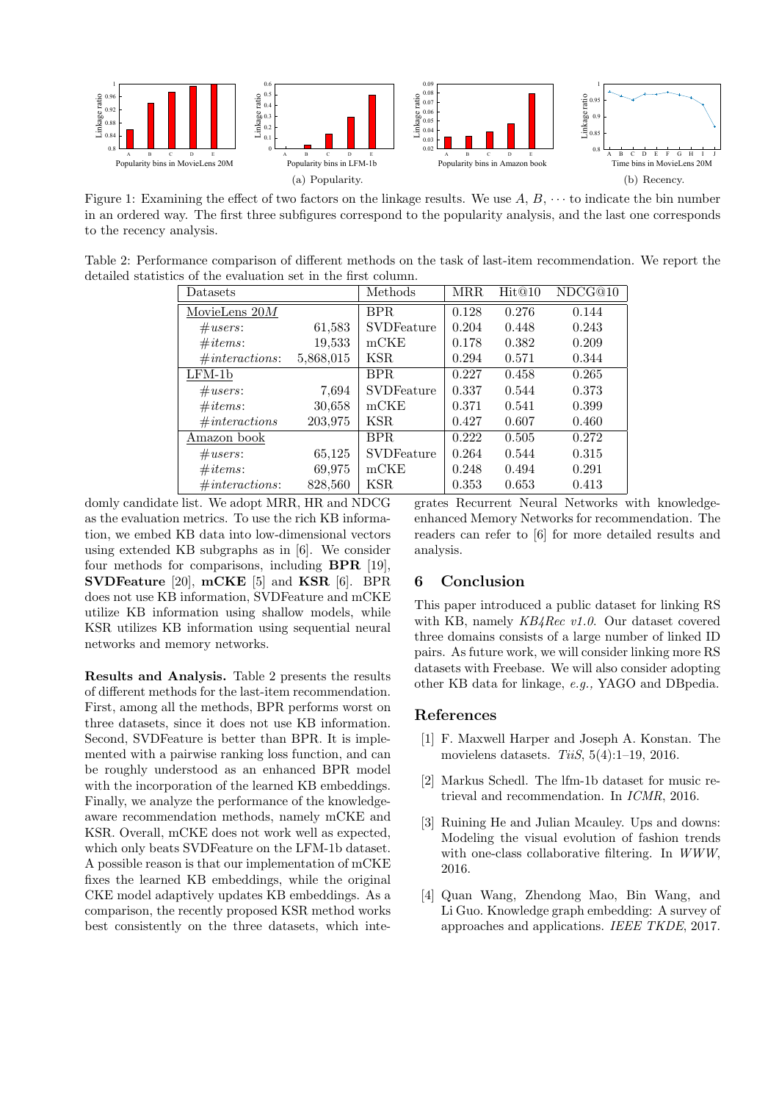

Figure 1: Examining the effect of two factors on the linkage results. We use  $A, B, \cdots$  to indicate the bin number in an ordered way. The first three subfigures correspond to the popularity analysis, and the last one corresponds to the recency analysis.

Table 2: Performance comparison of different methods on the task of last-item recommendation. We report the detailed statistics of the evaluation set in the first column.

| Datasets        |           | Methods           | <b>MRR</b> | Hit@10 | NDCG@10 |
|-----------------|-----------|-------------------|------------|--------|---------|
| MovieLens $20M$ |           | BPR.              | 0.128      | 0.276  | 0.144   |
| $\#users$ :     | 61,583    | <b>SVDFeature</b> | 0.204      | 0.448  | 0.243   |
| #items:         | 19,533    | mCKE              | 0.178      | 0.382  | 0.209   |
| #interactions:  | 5,868,015 | KSR               | 0.294      | 0.571  | 0.344   |
| $LFM-1b$        |           | BPR.              | 0.227      | 0.458  | 0.265   |
| #users:         | 7,694     | <b>SVDFeature</b> | 0.337      | 0.544  | 0.373   |
| #items:         | 30,658    | mCKE              | 0.371      | 0.541  | 0.399   |
| #interactions   | 203,975   | KSR.              | 0.427      | 0.607  | 0.460   |
| Amazon book     |           | BPR.              | 0.222      | 0.505  | 0.272   |
| $\#users$ :     | 65,125    | <b>SVDFeature</b> | 0.264      | 0.544  | 0.315   |
| #items:         | 69,975    | mCKE              | 0.248      | 0.494  | 0.291   |
| #interactions:  | 828,560   | <b>KSR</b>        | 0.353      | 0.653  | 0.413   |

domly candidate list. We adopt MRR, HR and NDCG as the evaluation metrics. To use the rich KB information, we embed KB data into low-dimensional vectors using extended KB subgraphs as in [6]. We consider four methods for comparisons, including BPR [19], SVDFeature [20], mCKE [5] and KSR [6]. BPR does not use KB information, SVDFeature and mCKE utilize KB information using shallow models, while KSR utilizes KB information using sequential neural networks and memory networks.

Results and Analysis. Table 2 presents the results of different methods for the last-item recommendation. First, among all the methods, BPR performs worst on three datasets, since it does not use KB information. Second, SVDFeature is better than BPR. It is implemented with a pairwise ranking loss function, and can be roughly understood as an enhanced BPR model with the incorporation of the learned KB embeddings. Finally, we analyze the performance of the knowledgeaware recommendation methods, namely mCKE and KSR. Overall, mCKE does not work well as expected, which only beats SVDFeature on the LFM-1b dataset. A possible reason is that our implementation of mCKE fixes the learned KB embeddings, while the original CKE model adaptively updates KB embeddings. As a comparison, the recently proposed KSR method works best consistently on the three datasets, which integrates Recurrent Neural Networks with knowledgeenhanced Memory Networks for recommendation. The readers can refer to [6] for more detailed results and analysis.

# 6 Conclusion

This paper introduced a public dataset for linking RS with KB, namely KB4Rec v1.0. Our dataset covered three domains consists of a large number of linked ID pairs. As future work, we will consider linking more RS datasets with Freebase. We will also consider adopting other KB data for linkage, e.g., YAGO and DBpedia.

## References

- [1] F. Maxwell Harper and Joseph A. Konstan. The movielens datasets.  $TiiS$ ,  $5(4):1-19$ , 2016.
- [2] Markus Schedl. The lfm-1b dataset for music retrieval and recommendation. In ICMR, 2016.
- [3] Ruining He and Julian Mcauley. Ups and downs: Modeling the visual evolution of fashion trends with one-class collaborative filtering. In WWW, 2016.
- [4] Quan Wang, Zhendong Mao, Bin Wang, and Li Guo. Knowledge graph embedding: A survey of approaches and applications. IEEE TKDE, 2017.